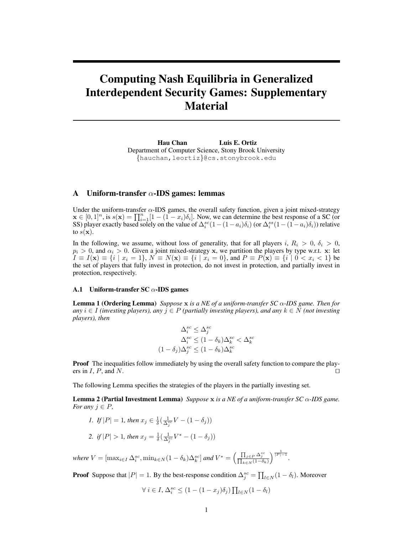# <span id="page-0-1"></span>Computing Nash Equilibria in Generalized Interdependent Security Games: Supplementary Material

Hau Chan Luis E. Ortiz Department of Computer Science, Stony Brook University {hauchan,leortiz}@cs.stonybrook.edu

## A Uniform-transfer  $\alpha$ -IDS games: lemmas

Under the uniform-transfer  $\alpha$ -IDS games, the overall safety function, given a joint mixed-strategy  $\mathbf{x} \in [0,1]^n$ , is  $s(\mathbf{x}) = \prod_{i=1}^n [1 - (1 - x_i)\delta_i]$ . Now, we can determine the best response of a SC (or SS) player exactly based solely on the value of  $\Delta_i^{sc}(1-(1-a_i)\delta_i)$  (or  $\Delta_i^{ss}(1-(1-a_i)\delta_i)$ ) relative to  $s(\mathbf{x})$ .

In the following, we assume, without loss of generality, that for all players i,  $R_i > 0$ ,  $\delta_i > 0$ ,  $p_i > 0$ , and  $\alpha_i > 0$ . Given a joint mixed-strategy x, we partition the players by type w.r.t. x: let  $I \equiv I(\mathbf{x}) \equiv \{i \mid x_i = 1\}, N \equiv N(\mathbf{x}) \equiv \{i \mid x_i = 0\}, \text{ and } P \equiv P(\mathbf{x}) \equiv \{i \mid 0 < x_i < 1\}$  be the set of players that fully invest in protection, do not invest in protection, and partially invest in protection, respectively.

#### A.1 Uniform-transfer  $SC \alpha$ -IDS games

Lemma 1 (Ordering Lemma) *Suppose* x *is a NE of a uniform-transfer SC* α*-IDS game. Then for any*  $i$  ∈ *I* (investing players), any  $j$  ∈ P (partially investing players), and any  $k$  ∈ N (not investing *players), then*

<span id="page-0-0"></span>
$$
\Delta_i^{sc} \leq \Delta_j^{sc}
$$

$$
\Delta_i^{sc} \leq (1 - \delta_k) \Delta_k^{sc} < \Delta_k^{sc}
$$

$$
(1 - \delta_j) \Delta_j^{sc} \leq (1 - \delta_k) \Delta_k^{sc}
$$

Proof The inequalities follow immediately by using the overall safety function to compare the players in  $I, P$ , and  $N$ .

The following Lemma specifies the strategies of the players in the partially investing set.

Lemma 2 (Partial Investment Lemma) *Suppose* x *is a NE of a uniform-transfer SC* α*-IDS game. For any*  $j \in P$ *,* 

1. If 
$$
|P| = 1
$$
, then  $x_j \in \frac{1}{\delta} \left( \frac{1}{\Delta_j^{ac}} V - (1 - \delta_j) \right)$   
2. if  $|P| > 1$ , then  $x_j = \frac{1}{\delta} \left( \frac{1}{\Delta_j^{ac}} V^* - (1 - \delta_j) \right)$ 

 $where V = [\max_{i \in I} \Delta_i^{sc}, \min_{k \in N} (1 - \delta_k) \Delta_k^{sc}]$  and  $V^* = \left(\frac{\prod_{j \in P} \Delta_j^{sc}}{\prod_{k \in N} (1 - \delta_k)}\right)$  $\Big)^{\frac{1}{|P|-1}}.$ 

**Proof** Suppose that  $|P| = 1$ . By the best-response condition  $\Delta_j^{sc} = \prod_{l \in N} (1 - \delta_l)$ . Moreover

$$
\forall i \in I, \Delta_i^{sc} \le (1 - (1 - x_j)\delta_j) \prod_{l \in N} (1 - \delta_l)
$$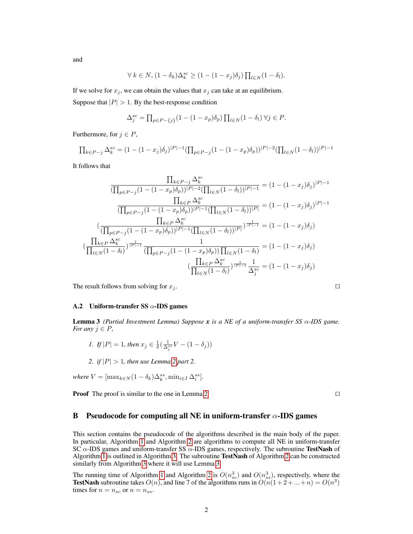and

$$
\forall k \in N, (1 - \delta_k) \Delta_k^{sc} \ge (1 - (1 - x_j)\delta_j) \prod_{l \in N} (1 - \delta_l).
$$

If we solve for  $x_j$ , we can obtain the values that  $x_j$  can take at an equilibrium. Suppose that  $|P| > 1$ . By the best-response condition

$$
\Delta_j^{sc} = \prod_{p \in P - \{j\}} (1 - (1 - x_p)\delta_p) \prod_{l \in N} (1 - \delta_l) \,\forall j \in P.
$$

Furthermore, for  $j \in P$ ,

$$
\prod_{k \in P-j} \Delta_k^{sc} = (1 - (1 - x_j)\delta_j)^{|P|-1} (\prod_{p \in P-j} (1 - (1 - x_p)\delta_p))^{|P|-2} (\prod_{l \in N} (1 - \delta_l))^{|P|-1}
$$

It follows that

$$
\frac{\prod_{k \in P-j} \Delta_k^{sc}}{(\prod_{p \in P-j} (1 - (1 - x_p)\delta_p))|P| - 2(\prod_{l \in N} (1 - \delta_l))|P| - 1} = (1 - (1 - x_j)\delta_j)|P| - 1
$$
\n
$$
\frac{\prod_{k \in P} \Delta_k^{sc}}{(\prod_{p \in P-j} (1 - (1 - x_p)\delta_p))|P| - 1(\prod_{l \in N} (1 - \delta_l))|P|} = (1 - (1 - x_j)\delta_j)|P| - 1
$$
\n
$$
(\frac{\prod_{k \in P} \Delta_k^{sc}}{(\prod_{p \in P-j} (1 - (1 - x_p)\delta_p))|P| - 1(\prod_{l \in N} (1 - \delta_l))|P|})^{\frac{1}{|P| - 1}} = (1 - (1 - x_j)\delta_j)
$$
\n
$$
(\frac{\prod_{k \in P} \Delta_k^{sc}}{\prod_{l \in N} (1 - \delta_l)})^{\frac{1}{|P| - 1}} \frac{1}{(\prod_{p \in P-j} (1 - (1 - x_p)\delta_p)) \prod_{l \in N} (1 - \delta_l)} = (1 - (1 - x_j)\delta_j)
$$
\n
$$
(\frac{\prod_{k \in P} \Delta_k^{sc}}{\prod_{l \in N} (1 - \delta_l)})^{\frac{1}{|P| - 1}} \frac{1}{\Delta_j^{sc}} = (1 - (1 - x_j)\delta_j)
$$

The result follows from solving for  $x_j$ .

#### A.2 Uniform-transfer SS  $\alpha$ -IDS games

<span id="page-1-0"></span>Lemma 3 *(Partial Investment Lemma) Suppose x is a NE of a uniform-transfer SS* α*-IDS game. For any*  $j \in P$ *,* 

- *1. If*  $|P| = 1$ *, then*  $x_j \in \frac{1}{\delta}(\frac{1}{\Delta_j^{ss}}V (1 \delta_j))$
- *2. if*  $|P| > 1$ *, then use Lemma [2](#page-0-0) part 2.*

*where*  $V = [\max_{k \in N} (1 - \delta_k) \Delta_k^{ss}, \min_{i \in I} \Delta_i^{ss}].$ 

**Proof** The proof is similar to the one in Lemma [2.](#page-0-0)  $\Box$ 

### B Pseudocode for computing all NE in uniform-transfer  $\alpha$ -IDS games

This section contains the pseudocode of the algorithms described in the main body of the paper. In particular, Algorithm [1](#page-2-0) and Algorithm [2](#page-2-1) are algorithms to compute all NE in uniform-transfer SC  $\alpha$ -IDS games and uniform-transfer SS  $\alpha$ -IDS games, respectively. The subroutine TestNash of Algorithm [1](#page-2-0) is outlined in Algorithm [3.](#page-2-2) The subroutine TestNash of Algorithm [2](#page-2-1) can be constructed similarly from Algorithm [3](#page-2-2) where it will use Lemma [3.](#page-1-0)

The running time of Algorithm [1](#page-2-0) and Algorithm [2](#page-2-1) is  $O(n_{sc}^3)$  and  $O(n_{ss}^3)$ , respectively, where the **TestNash** subroutine takes  $O(n)$ , and line 7 of the algorithms runs in  $O(n(1+2+\ldots+n)) = O(n^3)$ times for  $n = n_{sc}$  or  $n = n_{ss}$ .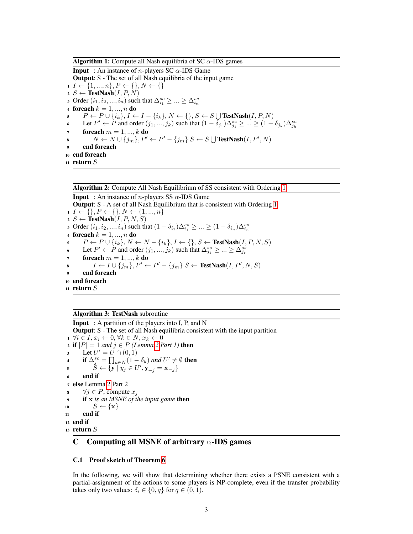**Algorithm 1:** Compute all Nash equilibria of SC  $\alpha$ -IDS games **Input** : An instance of *n*-players SC  $\alpha$ -IDS Game Output: S - The set of all Nash equilibria of the input game  $1 \ I \leftarrow \{1, ..., n\}, P \leftarrow \{\}, N \leftarrow \{\}$  $2 S \leftarrow \text{TestNash}(I, P, N)$ 3 Order  $(i_1, i_2, ..., i_n)$  such that  $\Delta_{i_1}^{sc} \geq ... \geq \Delta_{i_n}^{sc}$ 4 **foreach**  $k = 1, ..., n$  **do** 5  $P \leftarrow P \cup \{i_k\}, I \leftarrow I - \{i_k\}, N \leftarrow \{\}, S \leftarrow S \bigcup \text{TestNash}(I, P, N)$ 6 Let  $P' \leftarrow \tilde{P}$  and order  $(j_1, ..., j_k)$  such that  $(1 - \tilde{\delta}_{j_1})\Delta_{j_1}^{sc} \geq ... \geq (1 - \delta_{j_k})\Delta_{j_k}^{sc}$ 7 foreach  $m = 1, ..., k$  do 8  $N \leftarrow N \cup \{j_m\}, P' \leftarrow P' - \{j_m\} S \leftarrow S \bigcup \text{TestNash}(I, P', N)$ end foreach <sup>10</sup> end foreach 11 return  $S$ 

## <span id="page-2-0"></span>Algorithm 2: Compute All Nash Equilibrium of SS consistent with Ordering [1](#page-0-1)

**Input** : An instance of *n*-players SS  $\alpha$ -IDS Game Output: S - A set of all Nash Equilibrium that is consistent with Ordering [1](#page-0-1)  $1 \ I \leftarrow \{\}, P \leftarrow \{\}, N \leftarrow \{1, ..., n\}$ 2  $S \leftarrow$  TestNash $(I, P, N, S)$ 3 Order  $(i_1, i_2, ..., i_n)$  such that  $(1 - \delta_{i_1})\Delta_{i_1}^{ss} \ge ... \ge (1 - \delta_{i_n})\Delta_{i_n}^{ss}$ 4 **foreach**  $k = 1, ..., n$  **do** 5  $P \leftarrow P \cup \{i_k\}, N \leftarrow N - \{i_k\}, I \leftarrow \{\}, S \leftarrow \textbf{TestNash}(I, P, N, S)$ 6 Let  $P' \leftarrow \tilde{P}$  and order  $(j_1, ..., j_k)$  such that  $\Delta_{j_1}^{ss} \ge ... \ge \Delta_{j_k}^{ss}$ foreach  $m = 1, ..., k$  do 8  $I \leftarrow I \cup \{j_m\}, P' \leftarrow P' - \{j_m\} S \leftarrow \text{TestNash}(I, P', N, S)$ end foreach <sup>10</sup> end foreach 11 return  $S$ 

## <span id="page-2-1"></span>Algorithm 3: TestNash subroutine

**Input** : A partition of the players into I, P, and N Output: S - The set of all Nash equilibria consistent with the input partition  $1 \ \forall i \in I, x_i \leftarrow 0, \forall k \in N, x_k \leftarrow 0$ 2 if  $|P| = 1$  *and*  $j \in P$  *(Lemma [2](#page-0-0) Part 1)* then 3 Let  $U' = U \cap (0, 1)$ **4** if  $\Delta_j^{sc} = \prod_{k \in N} (1 - \delta_k)$  and  $U' \neq \emptyset$  then 5  $\check{S} \leftarrow \{\mathbf{y} \mid y_j \in U', \mathbf{y}_{-j} = \mathbf{x}_{-j}\}$ <sup>6</sup> end if <sup>7</sup> else Lemma [2](#page-0-0) Part 2 8  $∀j ∈ P$ , compute  $x_j$ <sup>9</sup> if x *is an MSNE of the input game* then 10  $S \leftarrow {\mathbf{x}}$  $11$  end if <sup>12</sup> end if <sup>13</sup> return S

## <span id="page-2-2"></span>C Computing all MSNE of arbitrary  $\alpha$ -IDS games

#### C.1 Proof sketch of Theorem [6](#page-0-1)

In the following, we will show that determining whether there exists a PSNE consistent with a partial-assignment of the actions to some players is NP-complete, even if the transfer probability takes only two values:  $\delta_i \in \{0, q\}$  for  $q \in (0, 1)$ .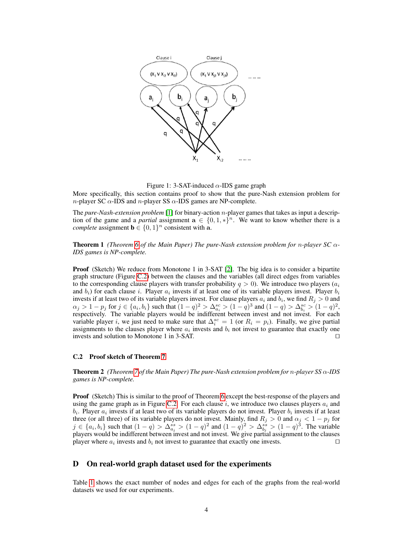

Figure 1: 3-SAT-induced  $\alpha$ -IDS game graph

More specifically, this section contains proof to show that the pure-Nash extension problem for *n*-player SC  $\alpha$ -IDS and *n*-player SS  $\alpha$ -IDS games are NP-complete.

The *pure-Nash-extension problem* [\[1\]](#page-4-0) for binary-action n-player games that takes as input a description of the game and a *partial* assignment  $a \in \{0, 1, *\}^n$ . We want to know whether there is a *complete* assignment  $\mathbf{b} \in \{0, 1\}^n$  consistent with a.

Theorem 1 *(Theorem [6](#page-0-1) of the Main Paper) The pure-Nash extension problem for* n*-player SC* α*-IDS games is NP-complete.*

**Proof** (Sketch) We reduce from Monotone 1 in 3-SAT [\[2\]](#page-4-1). The big idea is to consider a bipartite graph structure (Figure [C.2\)](#page-3-0) between the clauses and the variables (all direct edges from variables to the corresponding clause players with transfer probability  $q > 0$ ). We introduce two players  $(a<sub>i</sub>$ and  $b_i$ ) for each clause i. Player  $a_i$  invests if at least one of its variable players invest. Player  $b_i$ invests if at least two of its variable players invest. For clause players  $a_i$  and  $b_i$ , we find  $R_j > 0$  and  $\alpha_j > 1 - p_j$  for  $j \in \{a_i, b_i\}$  such that  $(1 - q)^2 > \Delta_{a_i}^{sc} > (1 - q)^3$  and  $(1 - q) > \Delta_{b_i}^{sc} > (1 - q)^2$ , respectively. The variable players would be indifferent between invest and not invest. For each variable player *i*, we just need to make sure that  $\Delta_i^{sc} = 1$  (or  $R_i = p_i$ ). Finally, we give partial assignments to the clauses player where  $a_i$  invests and  $b_i$  not invest to guarantee that exactly one invests and solution to Monotone 1 in 3-SAT.  $\Box$ 

#### <span id="page-3-0"></span>C.2 Proof sketch of Theorem [7](#page-0-1)

Theorem 2 *(Theorem [7](#page-0-1) of the Main Paper) The pure-Nash extension problem for* n*-player SS* α*-IDS games is NP-complete.*

**Proof** (Sketch) This is similar to the proof of Theorem [6](#page-0-1) except the best-response of the players and using the game graph as in Figure [C.2.](#page-3-0) For each clause i, we introduce two clauses players  $a_i$  and  $b_i$ . Player  $a_i$  invests if at least two of its variable players do not invest. Player  $b_i$  invests if at least three (or all three) of its variable players do not invest. Mainly, find  $R_j > 0$  and  $\alpha_j < 1 - p_j$  for  $j \in \{a_i, b_i\}$  such that  $(1-q) > \Delta_{a_i}^{ss} > (1-q)^2$  and  $(1-q)^2 > \Delta_{b_i}^{ss} > (1-q)^3$ . The variable players would be indifferent between invest and not invest. We give partial assignment to the clauses player where  $a_i$  invests and  $b_i$  not invest to guarantee that exactly one invests.

#### D On real-world graph dataset used for the experiments

Table [1](#page-4-2) shows the exact number of nodes and edges for each of the graphs from the real-world datasets we used for our experiments.